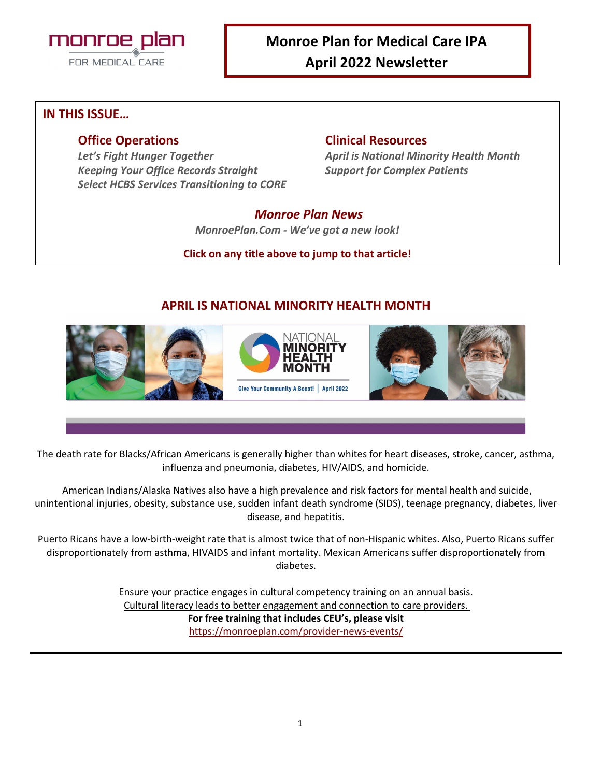

# **Monroe Plan for Medical Care IPA April 2022 Newsletter**

## **IN THIS ISSUE…**

*Keeping Your Office Records Straight Support for Complex Patients Select HCBS Services Transitioning to CORE* 

### **Office Operations Clinical Resources**

*Let's Fight Hunger Together April is National Minority Health Month*

## *Monroe Plan News*

*MonroePlan.Com - We've got a new look!* 

**Click on any title above to jump to that article!**

# **APRIL IS NATIONAL MINORITY HEALTH MONTH**



The death rate for Blacks/African Americans is generally higher than whites for heart diseases, stroke, cancer, asthma, influenza and pneumonia, diabetes, HIV/AIDS, and homicide.

American Indians/Alaska Natives also have a high prevalence and risk factors for mental health and suicide, unintentional injuries, obesity, substance use, sudden infant death syndrome (SIDS), teenage pregnancy, diabetes, liver disease, and hepatitis.

Puerto Ricans have a low-birth-weight rate that is almost twice that of non-Hispanic whites. Also, Puerto Ricans suffer disproportionately from asthma, HIVAIDS and infant mortality. Mexican Americans suffer disproportionately from diabetes.

> Ensure your practice engages in cultural competency training on an annual basis. Cultural literacy leads to better engagement and connection to care providers. **For free training that includes CEU's, please visit** <https://monroeplan.com/provider-news-events/>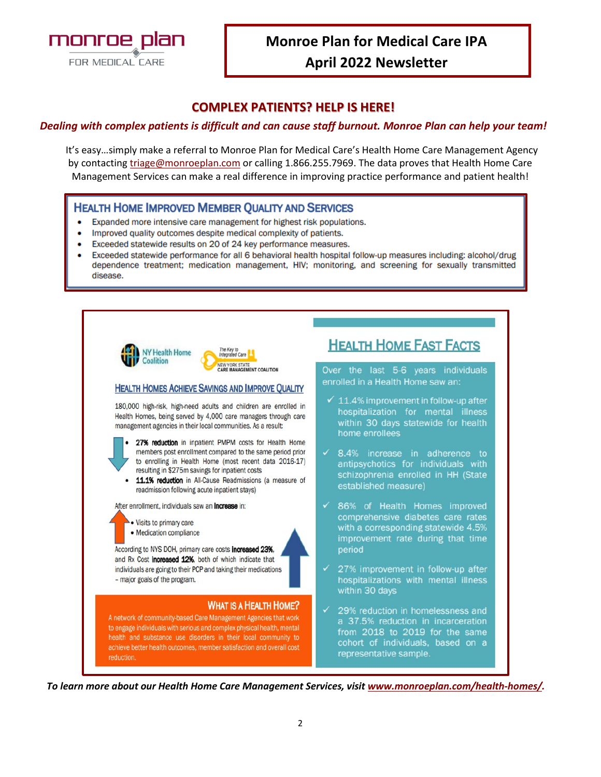

## **COMPLEX PATIENTS? HELP IS HERE!**

#### *Dealing with complex patients is difficult and can cause staff burnout. Monroe Plan can help your team!*

It's easy…simply make a referral to Monroe Plan for Medical Care's Health Home Care Management Agency by contacting [triage@monroeplan.com](mailto:triage@monroeplan.com) or calling 1.866.255.7969. The data proves that Health Home Care Management Services can make a real difference in improving practice performance and patient health!

#### **HEALTH HOME IMPROVED MEMBER QUALITY AND SERVICES**

- Expanded more intensive care management for highest risk populations.
- Improved quality outcomes despite medical complexity of patients.
- Exceeded statewide results on 20 of 24 key performance measures.
- Exceeded statewide performance for all 6 behavioral health hospital follow-up measures including: alcohol/drug dependence treatment; medication management, HIV; monitoring, and screening for sexually transmitted disease.



*To learn more about our Health Home Care Management Services, visit [www.monroeplan.com/health-homes/.](http://www.monroeplan.com/health-homes/)*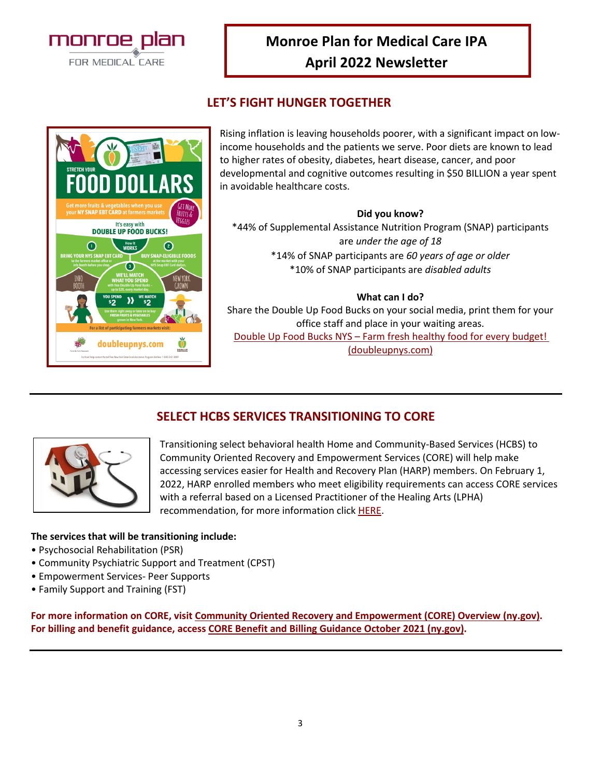

# **Monroe Plan for Medical Care IPA April 2022 Newsletter**

# **LET'S FIGHT HUNGER TOGETHER**



Rising inflation is leaving households poorer, with a significant impact on lowincome households and the patients we serve. Poor diets are known to lead to higher rates of obesity, diabetes, heart disease, cancer, and poor developmental and cognitive outcomes resulting in \$50 BILLION a year spent in avoidable healthcare costs.

#### **Did you know?**

\*44% of Supplemental Assistance Nutrition Program (SNAP) participants are *under the age of 18* \*14% of SNAP participants are *60 years of age or older* \*10% of SNAP participants are *disabled adults*

#### **What can I do?**

Share the Double Up Food Bucks on your social media, print them for your office staff and place in your waiting areas.

[Double Up Food Bucks NYS – Farm fresh healthy food for every budget!](https://doubleupnys.com/)  [\(doubleupnys.com\)](https://doubleupnys.com/)



**SELECT HCBS SERVICES TRANSITIONING TO CORE**

Transitioning select behavioral health Home and Community-Based Services (HCBS) to Community Oriented Recovery and Empowerment Services (CORE) will help make accessing services easier for Health and Recovery Plan (HARP) members. On February 1, 2022, HARP enrolled members who meet eligibility requirements can access CORE services with a referral based on a Licensed Practitioner of the Healing Arts (LPHA) recommendation, for more information click [HERE.](https://omh.ny.gov/omhweb/bho/core/)

#### **The services that will be transitioning include:**

- Psychosocial Rehabilitation (PSR)
- Community Psychiatric Support and Treatment (CPST)
- Empowerment Services- Peer Supports
- Family Support and Training (FST)

**For more information on CORE, visi[t Community Oriented Recovery and Empowerment \(CORE\) Overview \(ny.gov\).](https://omh.ny.gov/omhweb/bho/core/) For billing and benefit guidance, access [CORE Benefit and Billing Guidance October 2021 \(ny.gov\).](https://omh.ny.gov/omhweb/bho/core/core-benefit-and-billing-guidance.pdf)**